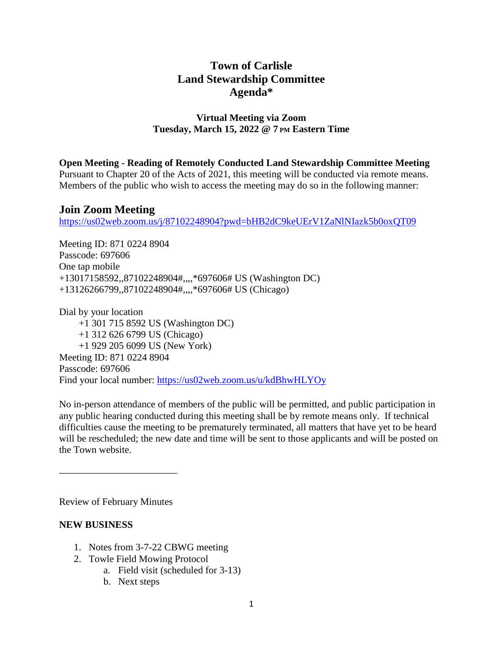# **Town of Carlisle Land Stewardship Committee Agenda\***

## **Virtual Meeting via Zoom Tuesday, March 15, 2022 @ 7 PM Eastern Time**

**Open Meeting - Reading of Remotely Conducted Land Stewardship Committee Meeting**

Pursuant to Chapter 20 of the Acts of 2021, this meeting will be conducted via remote means. Members of the public who wish to access the meeting may do so in the following manner:

## **Join Zoom Meeting**

<https://us02web.zoom.us/j/87102248904?pwd=bHB2dC9keUErV1ZaNlNIazk5b0oxQT09>

Meeting ID: 871 0224 8904 Passcode: 697606 One tap mobile +13017158592,,87102248904#,,,,\*697606# US (Washington DC) +13126266799,,87102248904#,,,,\*697606# US (Chicago)

Dial by your location +1 301 715 8592 US (Washington DC) +1 312 626 6799 US (Chicago) +1 929 205 6099 US (New York) Meeting ID: 871 0224 8904 Passcode: 697606 Find your local number: <https://us02web.zoom.us/u/kdBhwHLYOy>

No in-person attendance of members of the public will be permitted, and public participation in any public hearing conducted during this meeting shall be by remote means only. If technical difficulties cause the meeting to be prematurely terminated, all matters that have yet to be heard will be rescheduled; the new date and time will be sent to those applicants and will be posted on the Town website.

Review of February Minutes

\_\_\_\_\_\_\_\_\_\_\_\_\_\_\_\_\_\_\_\_\_\_\_\_

## **NEW BUSINESS**

- 1. Notes from 3-7-22 CBWG meeting
- 2. Towle Field Mowing Protocol
	- a. Field visit (scheduled for 3-13)
	- b. Next steps